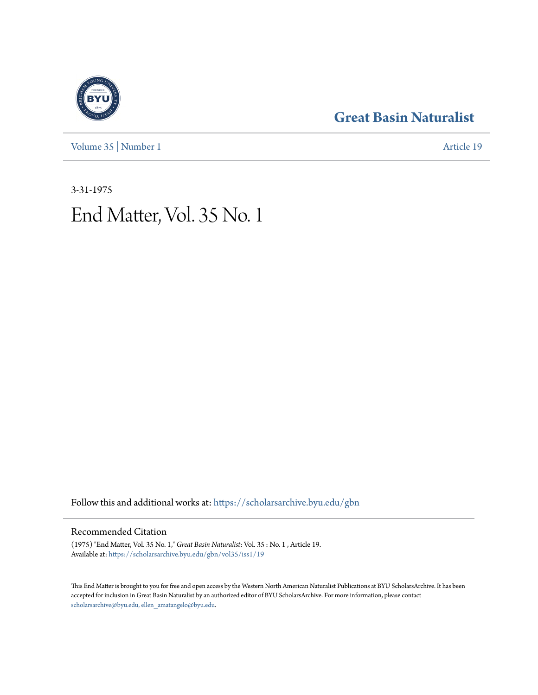[Volume 35](https://scholarsarchive.byu.edu/gbn/vol35?utm_source=scholarsarchive.byu.edu%2Fgbn%2Fvol35%2Fiss1%2F19&utm_medium=PDF&utm_campaign=PDFCoverPages) | [Number 1](https://scholarsarchive.byu.edu/gbn/vol35/iss1?utm_source=scholarsarchive.byu.edu%2Fgbn%2Fvol35%2Fiss1%2F19&utm_medium=PDF&utm_campaign=PDFCoverPages) [Article 19](https://scholarsarchive.byu.edu/gbn/vol35/iss1/19?utm_source=scholarsarchive.byu.edu%2Fgbn%2Fvol35%2Fiss1%2F19&utm_medium=PDF&utm_campaign=PDFCoverPages)

# **[Great Basin Naturalist](https://scholarsarchive.byu.edu/gbn?utm_source=scholarsarchive.byu.edu%2Fgbn%2Fvol35%2Fiss1%2F19&utm_medium=PDF&utm_campaign=PDFCoverPages)**

3-31-1975 End Matter, Vol. 35 No. 1

Follow this and additional works at: [https://scholarsarchive.byu.edu/gbn](https://scholarsarchive.byu.edu/gbn?utm_source=scholarsarchive.byu.edu%2Fgbn%2Fvol35%2Fiss1%2F19&utm_medium=PDF&utm_campaign=PDFCoverPages)

## Recommended Citation

(1975) "End Matter, Vol. 35 No. 1," *Great Basin Naturalist*: Vol. 35 : No. 1 , Article 19. Available at: [https://scholarsarchive.byu.edu/gbn/vol35/iss1/19](https://scholarsarchive.byu.edu/gbn/vol35/iss1/19?utm_source=scholarsarchive.byu.edu%2Fgbn%2Fvol35%2Fiss1%2F19&utm_medium=PDF&utm_campaign=PDFCoverPages)

This End Matter is brought to you for free and open access by the Western North American Naturalist Publications at BYU ScholarsArchive. It has been accepted for inclusion in Great Basin Naturalist by an authorized editor of BYU ScholarsArchive. For more information, please contact [scholarsarchive@byu.edu, ellen\\_amatangelo@byu.edu.](mailto:scholarsarchive@byu.edu,%20ellen_amatangelo@byu.edu)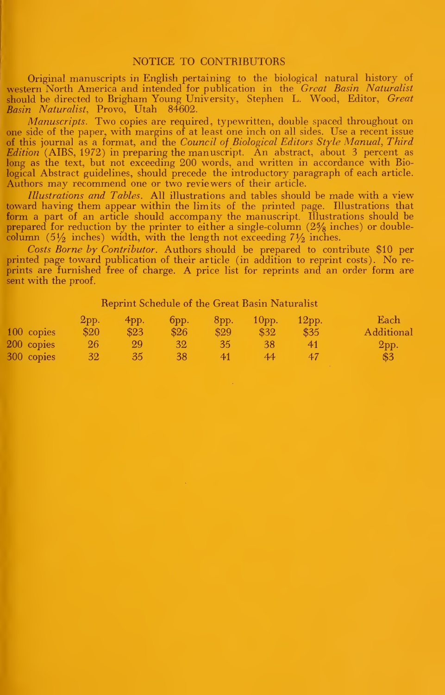#### NOTICE TO CONTRIBUTORS

Original manuscripts in English pertaining to the biological natural history of western North America and intended for publication in the *Great Basin Naturalist* should be directed to Brigham Young University, Stephen L. Wood, Editor, Great Basin Naturalist, Provo, Utah 84602.

Manuscripts. Two copies are required, typewritten, double spaced throughout on one side of the paper, wdth margins of at least one inch on all sides. Use a recent issue of this journal as a format, and the *Council of Biological Editors Style Manual*, Third Edition (AIBS, 1972) in preparing the manuscript. An abstract, about <sup>3</sup> percent as long as the text, but not exceeding 200 words, and written in accordance with Biological Abstract guidelines, should precede the introductory paragraph of each article. Authors may recommend one or two reviewers of their article.

Illustrations and Tables. All illustrations and tables should be made with a view toward having them appear within the limits of the printed page. Illustrations that form a part of an article should accompany the manuscript. Illustrations should be prepared for reduction by the printer to either a single-column  $(2\frac{5}{8})$  inches) or doublecolumn (5 $\frac{1}{2}$  inches) width, with the length not exceeding 7 $\frac{1}{2}$  inches.

Costs Borne by Contributor. Authors should be prepared to contribute \$10 per printed page toward publication of their article (in addition to reprint costs). No reprints are furnished free of charge. A price list for reprints and an order form are sent with the proof.

### Reprint Schedule of the Great Basin Naturalist

|            | 2pp.      | $4$ pp. | $6$ pp.         | $-8$ pp. | 10 <sub>pp</sub> | 12 <sub>pp</sub> | Each       |
|------------|-----------|---------|-----------------|----------|------------------|------------------|------------|
| 100 copies | \$20      | \$23    | \$26            | \$29     | \$32             | \$35             | Additional |
| 200 copies | 26        | 99      | 32 <sup>2</sup> | -35.     | 38               |                  | $2$ pp.    |
| 300 copies | <b>32</b> | 35      | $-38$           | 41       | 44               |                  | \$3        |